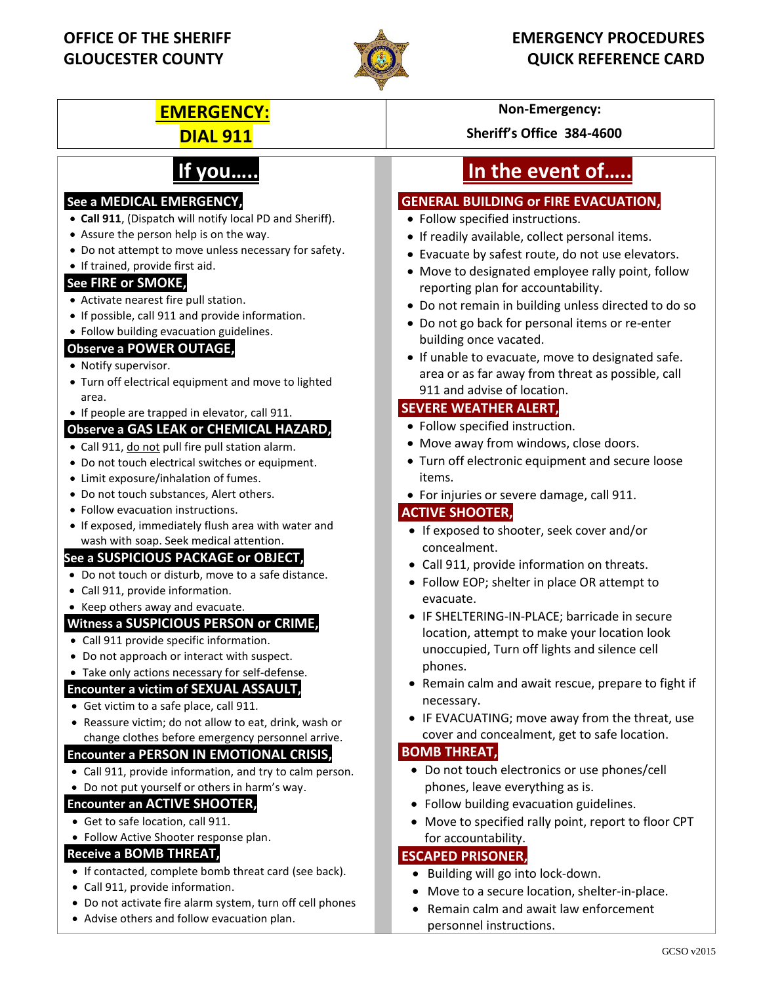

## **EMERGENCY:** Non-Emergency:

# **If you…..**

#### **See a MEDICAL EMERGENCY,**

- **Call 911**, (Dispatch will notify local PD and Sheriff).
- Assure the person help is on the way.
- Do not attempt to move unless necessary for safety.
- If trained, provide first aid.

#### **See FIRE or SMOKE,**

- Activate nearest fire pull station.
- If possible, call 911 and provide information.
- Follow building evacuation guidelines.

#### **Observe a POWER OUTAGE,**

- Notify supervisor.
- Turn off electrical equipment and move to lighted area.
- If people are trapped in elevator, call 911.

#### **Observe a GAS LEAK or CHEMICAL HAZARD,**

- Call 911, do not pull fire pull station alarm.
- Do not touch electrical switches or equipment.
- Limit exposure/inhalation of fumes.
- Do not touch substances, Alert others.
- Follow evacuation instructions.
- If exposed, immediately flush area with water and wash with soap. Seek medical attention.

#### **See a SUSPICIOUS PACKAGE or OBJECT,**

- Do not touch or disturb, move to a safe distance.
- Call 911, provide information.
- Keep others away and evacuate.

#### **Witness a SUSPICIOUS PERSON or CRIME,**

- Call 911 provide specific information.
- Do not approach or interact with suspect.
- Take only actions necessary for self-defense.

#### **Encounter a victim of SEXUAL ASSAULT,**

- Get victim to a safe place, call 911.
- Reassure victim; do not allow to eat, drink, wash or change clothes before emergency personnel arrive.

#### **Encounter a PERSON IN EMOTIONAL CRISIS,**

- Call 911, provide information, and try to calm person.
- Do not put yourself or others in harm's way.

#### **Encounter an ACTIVE SHOOTER,**

- Get to safe location, call 911.
- Follow Active Shooter response plan.
- **Receive a BOMB THREAT,**
- If contacted, complete bomb threat card (see back).
- Call 911, provide information.
- Do not activate fire alarm system, turn off cell phones
- Advise others and follow evacuation plan.

**DIAL 911 Sheriff's Office 384-4600**

# **In the event of…..**

### **GENERAL BUILDING or FIRE EVACUATION,**

- Follow specified instructions.
- If readily available, collect personal items.
- Evacuate by safest route, do not use elevators.
- Move to designated employee rally point, follow reporting plan for accountability.
- Do not remain in building unless directed to do so
- Do not go back for personal items or re-enter building once vacated.
- If unable to evacuate, move to designated safe. area or as far away from threat as possible, call 911 and advise of location.

#### **SEVERE WEATHER ALERT,**

- Follow specified instruction.
- Move away from windows, close doors.
- Turn off electronic equipment and secure loose items.
- For injuries or severe damage, call 911.

#### **ACTIVE SHOOTER,**

- If exposed to shooter, seek cover and/or concealment.
- Call 911, provide information on threats.
- Follow EOP; shelter in place OR attempt to evacuate.
- IF SHELTERING-IN-PLACE; barricade in secure location, attempt to make your location look unoccupied, Turn off lights and silence cell phones.
- Remain calm and await rescue, prepare to fight if necessary.
- IF EVACUATING; move away from the threat, use cover and concealment, get to safe location.

#### **BOMB THREAT,**

- Do not touch electronics or use phones/cell phones, leave everything as is.
- Follow building evacuation guidelines.
- Move to specified rally point, report to floor CPT for accountability.

#### **ESCAPED PRISONER,**

- Building will go into lock-down.
- Move to a secure location, shelter-in-place.
- Remain calm and await law enforcement personnel instructions.